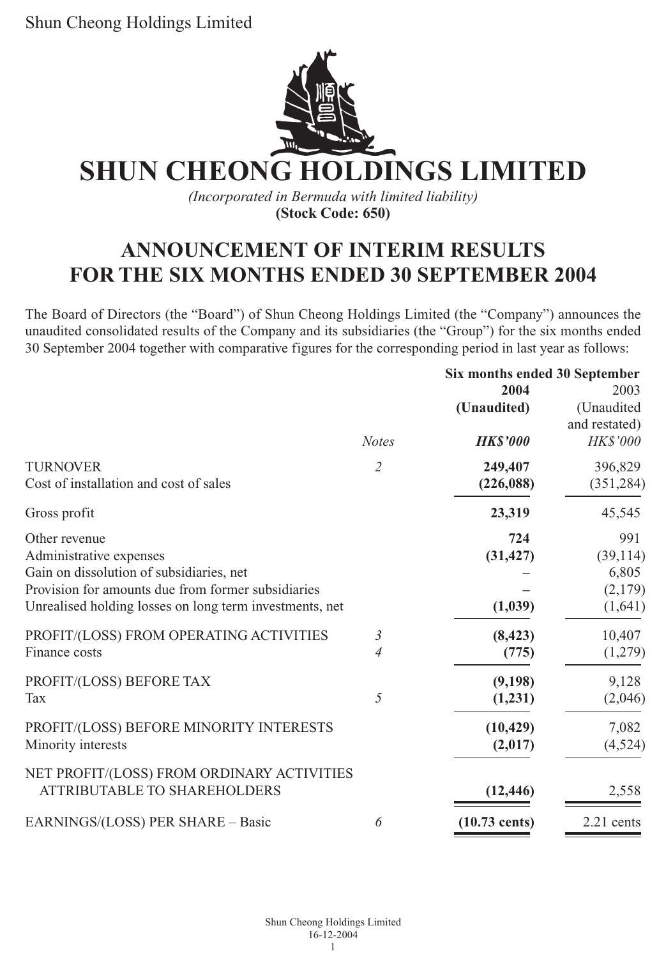

*(Incorporated in Bermuda with limited liability)* **(Stock Code: 650)**

# **ANNOUNCEMENT OF INTERIM RESULTS FOR THE SIX MONTHS ENDED 30 SEPTEMBER 2004**

The Board of Directors (the "Board") of Shun Cheong Holdings Limited (the "Company") announces the unaudited consolidated results of the Company and its subsidiaries (the "Group") for the six months ended 30 September 2004 together with comparative figures for the corresponding period in last year as follows:

|                                                         |                | Six months ended 30 September |                 |  |
|---------------------------------------------------------|----------------|-------------------------------|-----------------|--|
|                                                         | 2004           |                               | 2003            |  |
|                                                         |                | (Unaudited)                   | (Unaudited      |  |
|                                                         |                |                               | and restated)   |  |
|                                                         | <b>Notes</b>   | <b>HKS'000</b>                | <b>HK\$'000</b> |  |
| <b>TURNOVER</b>                                         | $\overline{2}$ | 249,407                       | 396,829         |  |
| Cost of installation and cost of sales                  |                | (226,088)                     | (351, 284)      |  |
| Gross profit                                            |                | 23,319                        | 45,545          |  |
| Other revenue                                           |                | 724                           | 991             |  |
| Administrative expenses                                 |                | (31, 427)                     | (39, 114)       |  |
| Gain on dissolution of subsidiaries, net                |                |                               | 6,805           |  |
| Provision for amounts due from former subsidiaries      |                |                               | (2,179)         |  |
| Unrealised holding losses on long term investments, net |                | (1,039)                       | (1,641)         |  |
| PROFIT/(LOSS) FROM OPERATING ACTIVITIES                 | $\mathfrak{Z}$ | (8, 423)                      | 10,407          |  |
| Finance costs                                           | $\overline{4}$ | (775)                         | (1,279)         |  |
| PROFIT/(LOSS) BEFORE TAX                                |                | (9,198)                       | 9,128           |  |
| Tax                                                     | $\overline{5}$ | (1,231)                       | (2,046)         |  |
| PROFIT/(LOSS) BEFORE MINORITY INTERESTS                 |                | (10, 429)                     | 7,082           |  |
| Minority interests                                      |                | (2,017)                       | (4,524)         |  |
| NET PROFIT/(LOSS) FROM ORDINARY ACTIVITIES              |                |                               |                 |  |
| ATTRIBUTABLE TO SHAREHOLDERS                            |                | (12, 446)                     | 2,558           |  |
| EARNINGS/(LOSS) PER SHARE - Basic                       | 6              | $(10.73 \text{ cents})$       | 2.21 cents      |  |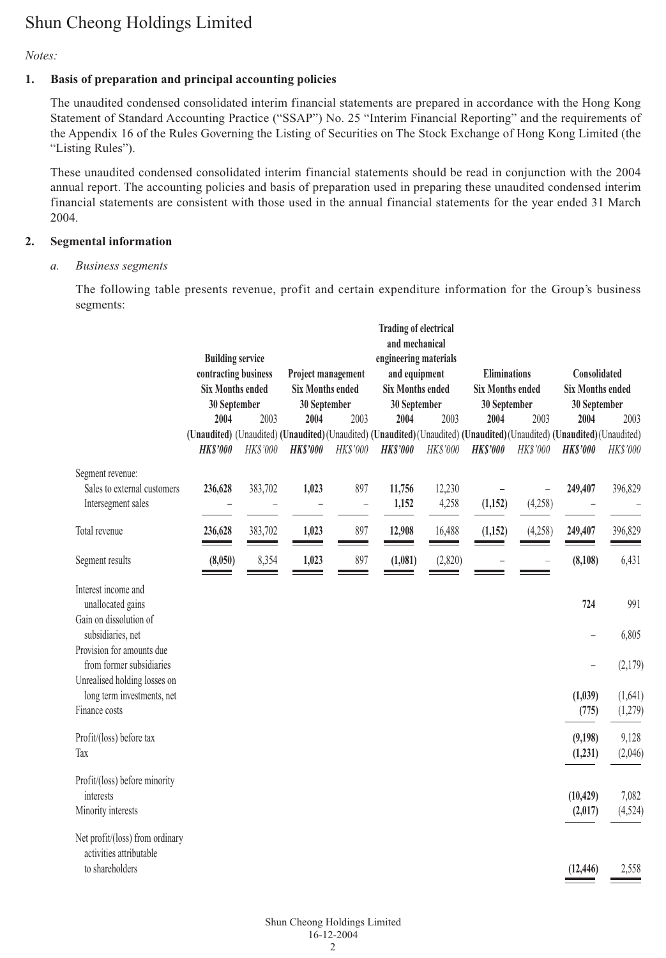#### *Notes:*

#### **1. Basis of preparation and principal accounting policies**

The unaudited condensed consolidated interim financial statements are prepared in accordance with the Hong Kong Statement of Standard Accounting Practice ("SSAP") No. 25 "Interim Financial Reporting" and the requirements of the Appendix 16 of the Rules Governing the Listing of Securities on The Stock Exchange of Hong Kong Limited (the "Listing Rules").

These unaudited condensed consolidated interim financial statements should be read in conjunction with the 2004 annual report. The accounting policies and basis of preparation used in preparing these unaudited condensed interim financial statements are consistent with those used in the annual financial statements for the year ended 31 March 2004.

#### **2. Segmental information**

#### *a. Business segments*

The following table presents revenue, profit and certain expenditure information for the Group's business segments:

|                                                            |                                                                                                                                 |                         |                                         |                    | <b>Trading of electrical</b><br>and mechanical |                         |                     |                         |                          |                         |  |
|------------------------------------------------------------|---------------------------------------------------------------------------------------------------------------------------------|-------------------------|-----------------------------------------|--------------------|------------------------------------------------|-------------------------|---------------------|-------------------------|--------------------------|-------------------------|--|
|                                                            |                                                                                                                                 | <b>Building service</b> |                                         |                    | engineering materials                          |                         |                     |                         |                          |                         |  |
|                                                            |                                                                                                                                 | contracting business    |                                         | Project management | and equipment                                  |                         | <b>Eliminations</b> |                         | Consolidated             |                         |  |
|                                                            | <b>Six Months ended</b><br>30 September                                                                                         |                         | <b>Six Months ended</b><br>30 September |                    |                                                | <b>Six Months ended</b> |                     | <b>Six Months ended</b> |                          | <b>Six Months ended</b> |  |
|                                                            |                                                                                                                                 |                         |                                         |                    | 30 September                                   |                         | 30 September        |                         | 30 September             |                         |  |
|                                                            | 2004<br>(Unaudited) (Unaudited) (Unaudited) (Unaudited) (Unaudited) (Unaudited) (Unaudited) (Unaudited) (Unaudited) (Unaudited) | 2003                    | 2004                                    | 2003               | 2004                                           | 2003                    | 2004                | 2003                    | 2004                     | 2003                    |  |
|                                                            | <b>HKS'000</b>                                                                                                                  | <b>HK\$'000</b>         | <b>HKS'000</b>                          | <b>HK\$'000</b>    | <b>HK\$'000</b>                                | HK\$'000                | <b>HK\$'000</b>     | <b>HKS'000</b>          | <b>HKS'000</b>           | <b>HKS'000</b>          |  |
| Segment revenue:                                           |                                                                                                                                 |                         |                                         |                    |                                                |                         |                     |                         |                          |                         |  |
| Sales to external customers                                | 236,628                                                                                                                         | 383,702                 | 1,023                                   | 897                | 11,756                                         | 12,230                  |                     | -                       | 249,407                  | 396,829                 |  |
| Intersegment sales                                         |                                                                                                                                 |                         | L,                                      | $\overline{a}$     | 1,152                                          | 4,258                   | (1, 152)            | (4,258)                 |                          |                         |  |
| Total revenue                                              | 236,628                                                                                                                         | 383,702                 | 1,023<br>$\sim$                         | 897<br>$\sim$      | 12,908                                         | 16,488                  | (1, 152)            | (4,258)                 | 249,407                  | 396,829                 |  |
| Segment results                                            | (8,050)                                                                                                                         | 8,354                   | 1,023                                   | 897<br>-           | (1,081)                                        | (2,820)                 |                     |                         | (8, 108)                 | 6,431                   |  |
| Interest income and                                        |                                                                                                                                 |                         |                                         |                    |                                                |                         |                     |                         |                          |                         |  |
| unallocated gains                                          |                                                                                                                                 |                         |                                         |                    |                                                |                         |                     |                         | 724                      | 991                     |  |
| Gain on dissolution of<br>subsidiaries, net                |                                                                                                                                 |                         |                                         |                    |                                                |                         |                     |                         | $\overline{\phantom{0}}$ | 6,805                   |  |
| Provision for amounts due                                  |                                                                                                                                 |                         |                                         |                    |                                                |                         |                     |                         |                          |                         |  |
| from former subsidiaries<br>Unrealised holding losses on   |                                                                                                                                 |                         |                                         |                    |                                                |                         |                     |                         | $\overline{\phantom{0}}$ | (2,179)                 |  |
| long term investments, net                                 |                                                                                                                                 |                         |                                         |                    |                                                |                         |                     |                         | (1,039)                  | (1,641)                 |  |
| Finance costs                                              |                                                                                                                                 |                         |                                         |                    |                                                |                         |                     |                         | (775)                    | (1,279)                 |  |
| Profit/(loss) before tax                                   |                                                                                                                                 |                         |                                         |                    |                                                |                         |                     |                         | (9,198)                  | 9,128                   |  |
| Tax                                                        |                                                                                                                                 |                         |                                         |                    |                                                |                         |                     |                         | (1,231)                  | (2,046)                 |  |
| Profit/(loss) before minority                              |                                                                                                                                 |                         |                                         |                    |                                                |                         |                     |                         |                          |                         |  |
| interests                                                  |                                                                                                                                 |                         |                                         |                    |                                                |                         |                     |                         | (10, 429)                | 7,082                   |  |
| Minority interests                                         |                                                                                                                                 |                         |                                         |                    |                                                |                         |                     |                         | (2,017)                  | (4, 524)                |  |
| Net profit/(loss) from ordinary<br>activities attributable |                                                                                                                                 |                         |                                         |                    |                                                |                         |                     |                         |                          |                         |  |
| to shareholders                                            |                                                                                                                                 |                         |                                         |                    |                                                |                         |                     |                         | (12, 446)                | 2,558                   |  |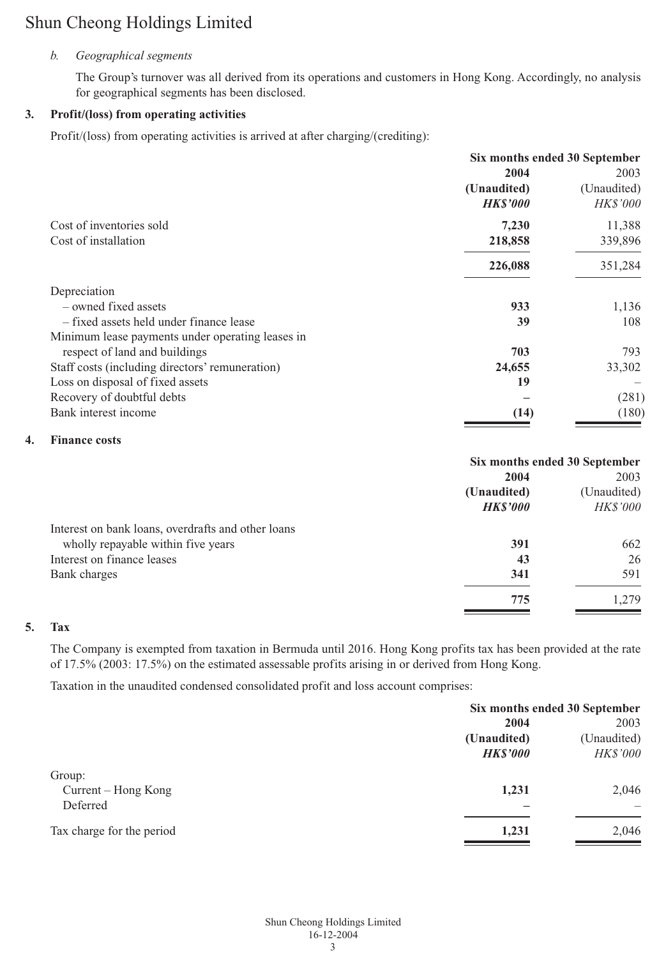#### *b. Geographical segments*

The Group's turnover was all derived from its operations and customers in Hong Kong. Accordingly, no analysis for geographical segments has been disclosed.

#### **3. Profit/(loss) from operating activities**

Profit/(loss) from operating activities is arrived at after charging/(crediting):

|                                                  | Six months ended 30 September |                 |
|--------------------------------------------------|-------------------------------|-----------------|
|                                                  | 2004                          | 2003            |
|                                                  | (Unaudited)                   | (Unaudited)     |
|                                                  | <b>HKS'000</b>                | <b>HK\$'000</b> |
| Cost of inventories sold                         | 7,230                         | 11,388          |
| Cost of installation                             | 218,858                       | 339,896         |
|                                                  | 226,088                       | 351,284         |
| Depreciation                                     |                               |                 |
| - owned fixed assets                             | 933                           | 1,136           |
| - fixed assets held under finance lease          | 39                            | 108             |
| Minimum lease payments under operating leases in |                               |                 |
| respect of land and buildings                    | 703                           | 793             |
| Staff costs (including directors' remuneration)  | 24,655                        | 33,302          |
| Loss on disposal of fixed assets                 | 19                            |                 |
| Recovery of doubtful debts                       |                               | (281)           |
| Bank interest income                             | (14)                          | (180)           |

#### **4. Finance costs**

|                                                    | Six months ended 30 September |                 |  |
|----------------------------------------------------|-------------------------------|-----------------|--|
|                                                    | 2004                          | 2003            |  |
|                                                    | (Unaudited)                   | (Unaudited)     |  |
|                                                    | <b>HKS'000</b>                | <b>HK\$'000</b> |  |
| Interest on bank loans, overdrafts and other loans |                               |                 |  |
| wholly repayable within five years                 | 391                           | 662             |  |
| Interest on finance leases                         | 43                            | 26              |  |
| Bank charges                                       | 341                           | 591             |  |
|                                                    | 775                           | .279            |  |
|                                                    |                               |                 |  |

### **5. Tax**

The Company is exempted from taxation in Bermuda until 2016. Hong Kong profits tax has been provided at the rate of 17.5% (2003: 17.5%) on the estimated assessable profits arising in or derived from Hong Kong.

Taxation in the unaudited condensed consolidated profit and loss account comprises:

|                           |                | Six months ended 30 September |  |  |
|---------------------------|----------------|-------------------------------|--|--|
|                           | 2004           | 2003<br>(Unaudited)           |  |  |
|                           | (Unaudited)    |                               |  |  |
|                           | <b>HKS'000</b> | <b>HK\$'000</b>               |  |  |
| Group:                    |                |                               |  |  |
| Current – Hong Kong       | 1,231          | 2,046                         |  |  |
| Deferred                  |                | -                             |  |  |
| Tax charge for the period | 1,231          | 2,046                         |  |  |
|                           |                |                               |  |  |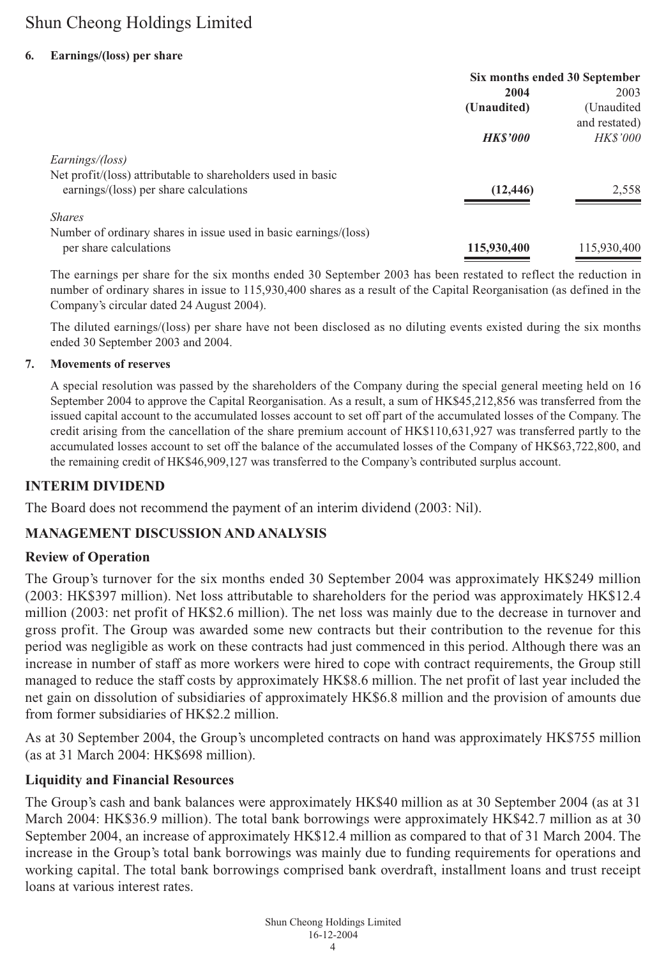#### **6. Earnings/(loss) per share**

|                                                                  | Six months ended 30 September |                 |  |
|------------------------------------------------------------------|-------------------------------|-----------------|--|
|                                                                  | 2004                          | 2003            |  |
|                                                                  | (Unaudited)                   | (Unaudited)     |  |
|                                                                  |                               | and restated)   |  |
|                                                                  | <b>HKS'000</b>                | <i>HK\$'000</i> |  |
| Earnings/(loss)                                                  |                               |                 |  |
| Net profit/(loss) attributable to shareholders used in basic     |                               |                 |  |
| earnings/(loss) per share calculations                           | (12, 446)                     | 2,558           |  |
| <b>Shares</b>                                                    |                               |                 |  |
| Number of ordinary shares in issue used in basic earnings/(loss) |                               |                 |  |
| per share calculations                                           | 115,930,400                   | 115,930,400     |  |

The earnings per share for the six months ended 30 September 2003 has been restated to reflect the reduction in number of ordinary shares in issue to 115,930,400 shares as a result of the Capital Reorganisation (as defined in the Company's circular dated 24 August 2004).

The diluted earnings/(loss) per share have not been disclosed as no diluting events existed during the six months ended 30 September 2003 and 2004.

#### **7. Movements of reserves**

A special resolution was passed by the shareholders of the Company during the special general meeting held on 16 September 2004 to approve the Capital Reorganisation. As a result, a sum of HK\$45,212,856 was transferred from the issued capital account to the accumulated losses account to set off part of the accumulated losses of the Company. The credit arising from the cancellation of the share premium account of HK\$110,631,927 was transferred partly to the accumulated losses account to set off the balance of the accumulated losses of the Company of HK\$63,722,800, and the remaining credit of HK\$46,909,127 was transferred to the Company's contributed surplus account.

#### **INTERIM DIVIDEND**

The Board does not recommend the payment of an interim dividend (2003: Nil).

#### **MANAGEMENT DISCUSSION AND ANALYSIS**

#### **Review of Operation**

The Group's turnover for the six months ended 30 September 2004 was approximately HK\$249 million (2003: HK\$397 million). Net loss attributable to shareholders for the period was approximately HK\$12.4 million (2003: net profit of HK\$2.6 million). The net loss was mainly due to the decrease in turnover and gross profit. The Group was awarded some new contracts but their contribution to the revenue for this period was negligible as work on these contracts had just commenced in this period. Although there was an increase in number of staff as more workers were hired to cope with contract requirements, the Group still managed to reduce the staff costs by approximately HK\$8.6 million. The net profit of last year included the net gain on dissolution of subsidiaries of approximately HK\$6.8 million and the provision of amounts due from former subsidiaries of HK\$2.2 million.

As at 30 September 2004, the Group's uncompleted contracts on hand was approximately HK\$755 million (as at 31 March 2004: HK\$698 million).

#### **Liquidity and Financial Resources**

The Group's cash and bank balances were approximately HK\$40 million as at 30 September 2004 (as at 31 March 2004: HK\$36.9 million). The total bank borrowings were approximately HK\$42.7 million as at 30 September 2004, an increase of approximately HK\$12.4 million as compared to that of 31 March 2004. The increase in the Group's total bank borrowings was mainly due to funding requirements for operations and working capital. The total bank borrowings comprised bank overdraft, installment loans and trust receipt loans at various interest rates.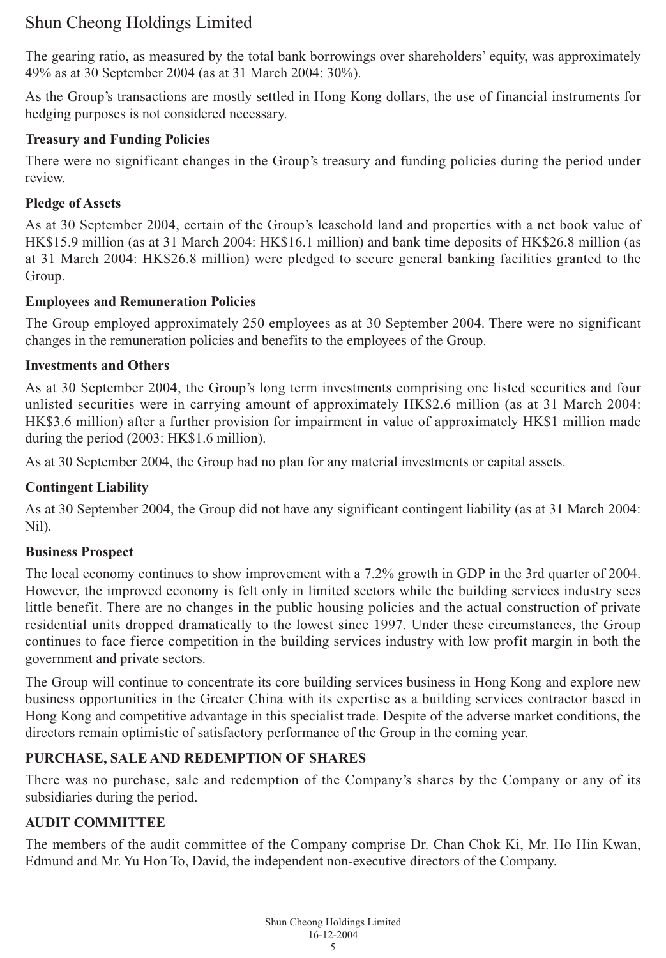The gearing ratio, as measured by the total bank borrowings over shareholders' equity, was approximately 49% as at 30 September 2004 (as at 31 March 2004: 30%).

As the Group's transactions are mostly settled in Hong Kong dollars, the use of financial instruments for hedging purposes is not considered necessary.

## **Treasury and Funding Policies**

There were no significant changes in the Group's treasury and funding policies during the period under review.

## **Pledge of Assets**

As at 30 September 2004, certain of the Group's leasehold land and properties with a net book value of HK\$15.9 million (as at 31 March 2004: HK\$16.1 million) and bank time deposits of HK\$26.8 million (as at 31 March 2004: HK\$26.8 million) were pledged to secure general banking facilities granted to the Group.

## **Employees and Remuneration Policies**

The Group employed approximately 250 employees as at 30 September 2004. There were no significant changes in the remuneration policies and benefits to the employees of the Group.

## **Investments and Others**

As at 30 September 2004, the Group's long term investments comprising one listed securities and four unlisted securities were in carrying amount of approximately HK\$2.6 million (as at 31 March 2004: HK\$3.6 million) after a further provision for impairment in value of approximately HK\$1 million made during the period (2003: HK\$1.6 million).

As at 30 September 2004, the Group had no plan for any material investments or capital assets.

## **Contingent Liability**

As at 30 September 2004, the Group did not have any significant contingent liability (as at 31 March 2004: Nil).

## **Business Prospect**

The local economy continues to show improvement with a 7.2% growth in GDP in the 3rd quarter of 2004. However, the improved economy is felt only in limited sectors while the building services industry sees little benefit. There are no changes in the public housing policies and the actual construction of private residential units dropped dramatically to the lowest since 1997. Under these circumstances, the Group continues to face fierce competition in the building services industry with low profit margin in both the government and private sectors.

The Group will continue to concentrate its core building services business in Hong Kong and explore new business opportunities in the Greater China with its expertise as a building services contractor based in Hong Kong and competitive advantage in this specialist trade. Despite of the adverse market conditions, the directors remain optimistic of satisfactory performance of the Group in the coming year.

## **PURCHASE, SALE AND REDEMPTION OF SHARES**

There was no purchase, sale and redemption of the Company's shares by the Company or any of its subsidiaries during the period.

## **AUDIT COMMITTEE**

The members of the audit committee of the Company comprise Dr. Chan Chok Ki, Mr. Ho Hin Kwan, Edmund and Mr. Yu Hon To, David, the independent non-executive directors of the Company.